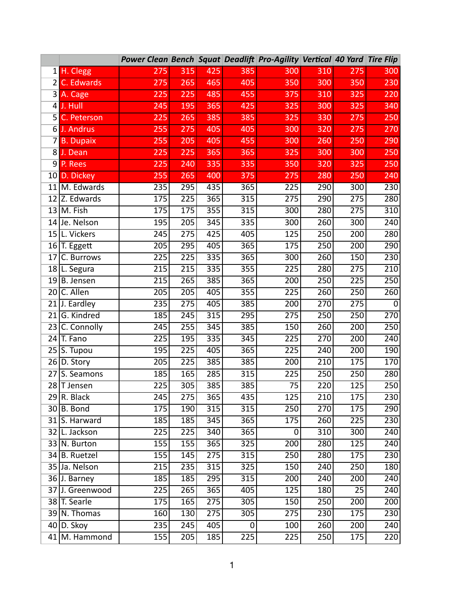|                |                      | Power Clean Bench Squat Deadlift Pro-Agility Vertical 40 Yard Tire Flip |                  |                  |                  |                  |                  |                  |                  |
|----------------|----------------------|-------------------------------------------------------------------------|------------------|------------------|------------------|------------------|------------------|------------------|------------------|
|                | 1 H. Clegg           | 275                                                                     | 315              | 425              | 385              | 300              | 310              | 275              | 300              |
| 2 I            | C. Edwards           | 275                                                                     | 265              | 465              | 405              | 350              | 300              | 350              | 230              |
|                | 3 A. Cage            | 225                                                                     | 225              | 485              | 455              | 375              | 310              | 325              | 220              |
| 4 <sup>1</sup> | J. Hull              | 245                                                                     | 195              | 365              | 425              | 325              | 300              | 325              | 340              |
|                | <b>5</b> C. Peterson | 225                                                                     | 265              | 385              | 385              | 325              | 330              | 275              | 250              |
|                | 6 J. Andrus          | 255                                                                     | 275              | 405              | 405              | 300              | 320              | 275              | 270              |
|                | 7 B. Dupaix          | 255                                                                     | 205              | 405              | 455              | 300              | 260              | 250              | 290              |
| 8 <sup>1</sup> | J. Dean              | 225                                                                     | 225              | 365              | 365              | 325              | 300              | 300              | 250              |
|                | 9 P. Rees            | 225                                                                     | 240              | 335              | 335              | 350              | 320              | 325              | 250              |
|                | 10 D. Dickey         | 255                                                                     | 265              | 400              | 375              | 275              | 280              | 250              | 240              |
|                | 11 M. Edwards        | 235                                                                     | 295              | 435              | 365              | 225              | 290              | 300              | 230              |
|                | 12 Z. Edwards        | 175                                                                     | 225              | $\overline{365}$ | 315              | 275              | 290              | 275              | 280              |
|                | $13$ M. Fish         | 175                                                                     | 175              | 355              | 315              | 300              | 280              | 275              | $\overline{310}$ |
|                | 14 Je. Nelson        | 195                                                                     | $\overline{205}$ | $\overline{345}$ | 335              | $\overline{300}$ | 260              | $\overline{300}$ | 240              |
| 15             | L. Vickers           | 245                                                                     | $\overline{275}$ | 425              | 405              | 125              | 250              | $\overline{200}$ | 280              |
|                | $16$ T. Eggett       | $\overline{205}$                                                        | 295              | 405              | 365              | 175              | $\overline{250}$ | $\overline{200}$ | $\overline{290}$ |
| 17             | C. Burrows           | 225                                                                     | $\overline{225}$ | 335              | 365              | 300              | 260              | 150              | 230              |
|                | 18 L. Segura         | 215                                                                     | $\overline{215}$ | 335              | 355              | 225              | 280              | $\overline{275}$ | $\overline{210}$ |
|                | $19$ B. Jensen       | 215                                                                     | 265              | 385              | 365              | 200              | 250              | $\overline{225}$ | $\overline{250}$ |
|                | 20 C. Allen          | 205                                                                     | 205              | 405              | 355              | 225              | 260              | 250              | 260              |
|                | $21$ J. Eardley      | 235                                                                     | 275              | 405              | 385              | 200              | 270              | 275              | $\mathbf 0$      |
|                | $21$ G. Kindred      | 185                                                                     | 245              | 315              | 295              | 275              | 250              | 250              | 270              |
|                | 23 C. Connolly       | 245                                                                     | 255              | $\overline{345}$ | 385              | 150              | $\frac{1}{260}$  | $\overline{200}$ | 250              |
| 24             | T. Fano              | 225                                                                     | 195              | 335              | 345              | 225              | 270              | 200              | 240              |
|                | $25$ S. Tupou        | 195                                                                     | 225              | 405              | 365              | 225              | 240              | 200              | 190              |
|                | $26 D.$ Story        | 205                                                                     | 225              | 385              | 385              | 200              | 210              | 175              | 170              |
| 27             | S. Seamons           | 185                                                                     | 165              | 285              | 315              | 225              | 250              | 250              | 280              |
|                | 28 T Jensen          | 225                                                                     | 305              | 385              | 385              | $\overline{75}$  | 220              | 125              | 250              |
|                | $29$ R. Black        | 245                                                                     | $\overline{275}$ | 365              | 435              | $\overline{125}$ | $\frac{1}{210}$  | $\overline{175}$ | $\overline{230}$ |
|                | $30 B.$ Bond         | 175                                                                     | 190              | $\overline{315}$ | 315              | 250              | $\overline{270}$ | 175              | 290              |
|                | 31 S. Harward        | 185                                                                     | 185              | 345              | 365              | 175              | 260              | 225              | 230              |
|                | 32 L. Jackson        | $\overline{225}$                                                        | $\overline{225}$ | 340              | 365              | 0                | 310              | $\overline{300}$ | 240              |
|                | 33 N. Burton         | 155                                                                     | 155              | 365              | $\overline{325}$ | 200              | 280              | 125              | 240              |
|                | 34 B. Ruetzel        | 155                                                                     | 145              | 275              | 315              | $\overline{250}$ | 280              | 175              | $\overline{230}$ |
|                | 35 Ja. Nelson        | 215                                                                     | 235              | 315              | $\overline{325}$ | 150              | 240              | $\overline{250}$ | 180              |
|                | 36 J. Barney         | 185                                                                     | 185              | 295              | 315              | 200              | 240              | 200              | 240              |
|                | 37 J. Greenwood      | 225                                                                     | $\overline{265}$ | 365              | 405              | $\overline{125}$ | 180              | $\overline{25}$  | 240              |
|                | 38 T. Searle         | 175                                                                     | 165              | 275              | 305              | 150              | 250              | 200              | 200              |
|                | $39$ N. Thomas       | 160                                                                     | 130              | 275              | 305              | 275              | 230              | 175              | 230              |
|                | $40$ D. Skoy         | 235                                                                     | 245              | 405              | 0                | 100              | 260              | 200              | 240              |
|                | 41 M. Hammond        | 155                                                                     | 205              | 185              | $\overline{225}$ | 225              | 250              | 175              | 220              |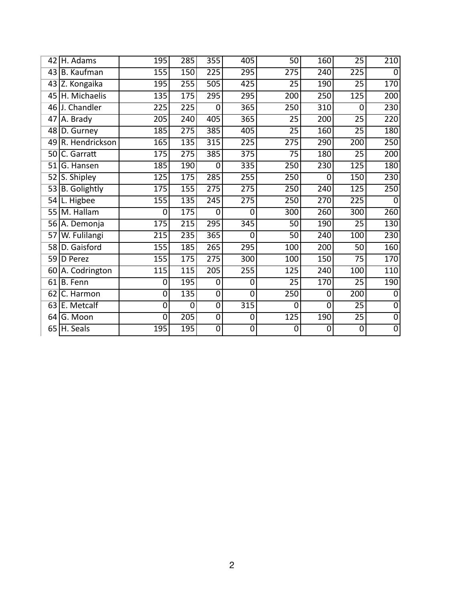| 42   | H. Adams          | 195              | 285              | 355              | 405            | 50               | 160              | 25               | 210              |
|------|-------------------|------------------|------------------|------------------|----------------|------------------|------------------|------------------|------------------|
| 43   | <b>B.</b> Kaufman | 155              | 150              | 225              | 295            | 275              | 240              | 225              | $\mathbf 0$      |
| 43   | Z. Kongaika       | 195              | 255              | $\overline{505}$ | 425            | $\overline{25}$  | 190              | $\overline{25}$  | 170              |
| 45   | H. Michaelis      | 135              | 175              | 295              | 295            | $\overline{200}$ | 250              | $\overline{125}$ | $\overline{200}$ |
| 46 l | J. Chandler       | $\overline{225}$ | 225              | $\Omega$         | 365            | $\overline{250}$ | $\overline{310}$ | 0                | 230              |
| 47   | A. Brady          | $\overline{205}$ | $\overline{240}$ | 405              | 365            | $\overline{25}$  | 200              | $\overline{25}$  | $\overline{220}$ |
| 48   | D. Gurney         | 185              | 275              | 385              | 405            | $\overline{25}$  | 160              | $\overline{25}$  | 180              |
|      | 49 R. Hendrickson | 165              | 135              | 315              | 225            | 275              | 290              | $\overline{200}$ | $\overline{250}$ |
| 50   | C. Garratt        | 175              | 275              | 385              | 375            | 75               | 180              | 25               | 200              |
| 51   | G. Hansen         | 185              | 190              | $\overline{0}$   | 335            | 250              | 230              | 125              | 180              |
| 52   | S. Shipley        | 125              | 175              | 285              | 255            | 250              | 0                | 150              | 230              |
|      | 53 B. Golightly   | 175              | 155              | 275              | 275            | 250              | 240              | 125              | 250              |
| 54   | L. Higbee         | 155              | 135              | $\frac{1}{245}$  | 275            | 250              | 270              | $\overline{225}$ | $\mathbf 0$      |
| 55   | M. Hallam         | $\mathbf 0$      | 175              | $\mathbf 0$      | $\overline{0}$ | $\overline{300}$ | 260              | $\overline{300}$ | $\overline{260}$ |
|      | 56 A. Demonja     | 175              | $\overline{215}$ | 295              | 345            | 50               | $\overline{1}90$ | 25               | 130              |
| 57   | W. Fulilangi      | 215              | 235              | 365              | $\Omega$       | 50               | $\overline{240}$ | 100              | 230              |
|      | 58 D. Gaisford    | 155              | 185              | $\overline{265}$ | 295            | 100              | $\overline{200}$ | $\overline{50}$  | 160              |
|      | 59 D Perez        | 155              | 175              | $\overline{275}$ | 300            | 100              | 150              | $\overline{75}$  | 170              |
|      | 60 A. Codrington  | $\overline{115}$ | 115              | 205              | 255            | $\overline{125}$ | $\overline{240}$ | 100              | 110              |
| 61   | <b>B.</b> Fenn    | 0                | 195              | $\overline{0}$   | 0              | $\overline{25}$  | 170              | $\overline{25}$  | 190              |
| 62   | C. Harmon         | 0                | 135              | $\overline{0}$   | $\overline{0}$ | 250              | 0                | $\overline{200}$ | $\mathbf 0$      |
|      | 63 E. Metcalf     | 0                | $\mathbf 0$      | $\mathbf 0$      | 315            | 0                | $\mathbf 0$      | $\overline{25}$  | $\overline{0}$   |
| 64   | G. Moon           | $\overline{0}$   | $\overline{205}$ | $\overline{0}$   | $\overline{0}$ | 125              | 190              | $\overline{25}$  | $\overline{0}$   |
|      | $65$ H. Seals     | 195              | 195              | $\overline{0}$   | $\overline{0}$ | 0                | 0                | $\overline{0}$   | $\overline{0}$   |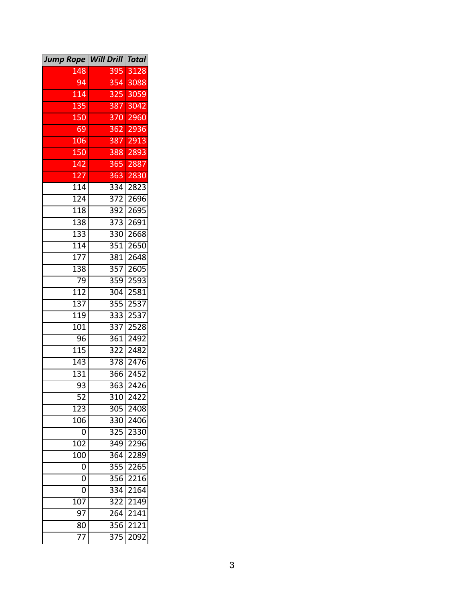| <b>Jump Rope Will Drill Total</b> |                  |                   |
|-----------------------------------|------------------|-------------------|
| 148                               | 395              | 3128              |
| 94                                | 354              | 3088              |
| 114                               |                  | 325 3059          |
| 135                               | 387              | 3042              |
| 150                               |                  | 370 2960          |
| 69                                | 362              | 2936              |
| 106                               |                  | 387 2913          |
| 150                               |                  | 388 2893          |
| 142                               |                  | 365 2887          |
| 127                               |                  | 363 2830          |
| 114                               |                  | 334 2823          |
| 124                               | 372              | 2696              |
| $\overline{118}$                  | $\overline{392}$ | 2695              |
| 138                               | 373              | $\sqrt{2691}$     |
| $\overline{133}$                  | 330              | 2668              |
| $\overline{114}$                  | 351              | 2650              |
| 177                               | 381              | 2648              |
| 138                               | $\overline{357}$ | 2605              |
| 79                                | 359              | 2593              |
| $\overline{112}$                  | 304              | 2581              |
| 137                               | 355              | 2537              |
| $\overline{119}$                  | 333              | 2537              |
| 101                               | 337              | 2528              |
| 96                                | 361              | 2492              |
| $\overline{115}$                  | $\overline{322}$ | 2482              |
| 143                               | 378              | 2476              |
| 131                               | 366              | 2452              |
| 93                                | 363              | 2426              |
| $\overline{52}$                   | 310              | $24\overline{22}$ |
| $\overline{123}$                  | $\overline{305}$ | 2408              |
| 106                               | 330              | 2406              |
| 0                                 | 325              | 2330              |
| 102                               | 349              | 2296              |
| 100                               | 364              | 2289              |
| 0                                 | 355              | 2265              |
| 0                                 | 356              | 2216              |
| 0                                 | 334              | 2164              |
| 107                               | 322              | 2149              |
| 97                                | 264              | 2141              |
| 80                                | 356              | 2121              |
| 77                                | 375              | 2092              |